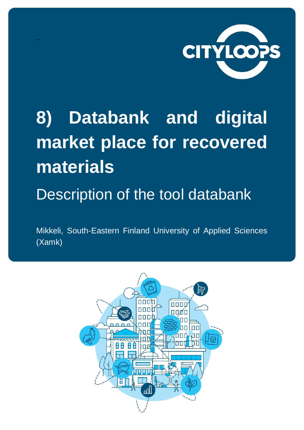

# 8) Databank and digital market place for recovered materials

#### Description of the tool databank

Mikkeli, South-Eastern Finland University of Applied Sciences (Xamk)

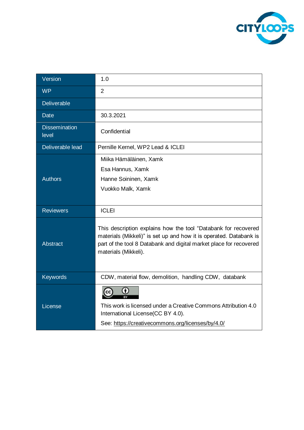

| Version                       | 1.0                                                                                                                                                                                                                                |
|-------------------------------|------------------------------------------------------------------------------------------------------------------------------------------------------------------------------------------------------------------------------------|
| <b>WP</b>                     | $\overline{2}$                                                                                                                                                                                                                     |
| Deliverable                   |                                                                                                                                                                                                                                    |
| <b>Date</b>                   | 30.3.2021                                                                                                                                                                                                                          |
| <b>Dissemination</b><br>level | Confidential                                                                                                                                                                                                                       |
| Deliverable lead              | Pernille Kernel, WP2 Lead & ICLEI                                                                                                                                                                                                  |
|                               | Miika Hämäläinen, Xamk                                                                                                                                                                                                             |
|                               | Esa Hannus, Xamk                                                                                                                                                                                                                   |
| <b>Authors</b>                | Hanne Soininen, Xamk                                                                                                                                                                                                               |
|                               | Vuokko Malk, Xamk                                                                                                                                                                                                                  |
|                               |                                                                                                                                                                                                                                    |
| <b>Reviewers</b>              | <b>ICLEI</b>                                                                                                                                                                                                                       |
| <b>Abstract</b>               | This description explains how the tool "Databank for recovered<br>materials (Mikkeli)" is set up and how it is operated. Databank is<br>part of the tool 8 Databank and digital market place for recovered<br>materials (Mikkeli). |
| <b>Keywords</b>               | CDW, material flow, demolition, handling CDW, databank                                                                                                                                                                             |
| License                       | This work is licensed under a Creative Commons Attribution 4.0<br>International License(CC BY 4.0).<br>See: https://creativecommons.org/licenses/by/4.0/                                                                           |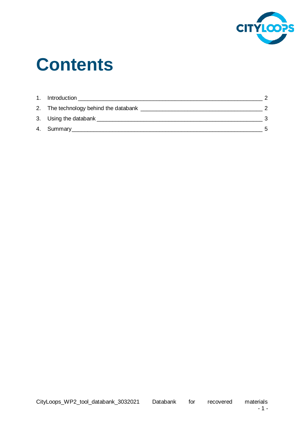

## **Contents**

| 1. Introduction                                |    |
|------------------------------------------------|----|
| 2. The technology behind the databank ________ |    |
|                                                | າ  |
| 4. Summary 1.1 Summary                         | Б. |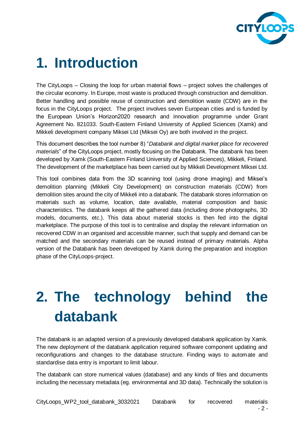

#### <span id="page-3-0"></span>**1. Introduction**

The CityLoops – Closing the loop for urban material flows – project solves the challenges of the circular economy. In Europe, most waste is produced through construction and demolition. Better handling and possible reuse of construction and demolition waste (CDW) are in the focus in the CityLoops project. The project involves seven European cities and is funded by the European Union's Horizon2020 research and innovation programme under Grant Agreement No. 821033. South-Eastern Finland University of Applied Sciences (Xamk) and Mikkeli development company Miksei Ltd (Miksei Oy) are both involved in the project.

This document describes the tool number 8) "*Databank and digital market place for recovered materials*" of the CityLoops project, mostly focusing on the Databank. The databank has been developed by Xamk (South-Eastern Finland University of Applied Sciences), Mikkeli, Finland. The development of the marketplace has been carried out by Mikkeli Development Miksei Ltd.

This tool combines data from the 3D scanning tool (using drone imaging) and Miksei's demolition planning (Mikkeli City Development) on construction materials (CDW) from demolition sites around the city of Mikkeli into a databank. The databank stores information on materials such as volume, location, date available, material composition and basic characteristics. The databank keeps all the gathered data (including drone photographs, 3D models, documents, etc.). This data about material stocks is then fed into the digital marketplace. The purpose of this tool is to centralise and display the relevant information on recovered CDW in an organised and accessible manner, such that supply and demand can be matched and the secondary materials can be reused instead of primary materials. Alpha version of the Databank has been developed by Xamk during the preparation and inception phase of the CityLoops-project.

### <span id="page-3-1"></span>**2. The technology behind the databank**

The databank is an adapted version of a previously developed databank application by Xamk. The new deployment of the databank application required software component updating and reconfigurations and changes to the database structure. Finding ways to automate and standardise data entry is important to limit labour.

The databank can store numerical values (database) and any kinds of files and documents including the necessary metadata (eg. environmental and 3D data). Technically the solution is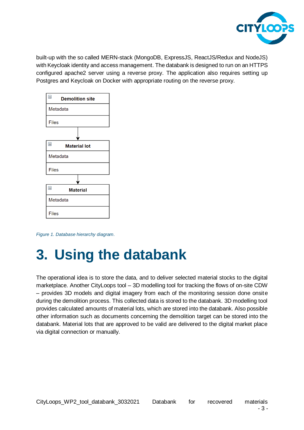

built-up with the so called MERN-stack (MongoDB, ExpressJS, ReactJS/Redux and NodeJS) with Keycloak identity and access management. The databank is designed to run on an HTTPS configured apache2 server using a reverse proxy. The application also requires setting up Postgres and Keycloak on Docker with appropriate routing on the reverse proxy.



*Figure 1. Database hierarchy diagram.*

#### <span id="page-4-0"></span>**3. Using the databank**

The operational idea is to store the data, and to deliver selected material stocks to the digital marketplace. Another CityLoops tool – 3D modelling tool for tracking the flows of on-site CDW – provides 3D models and digital imagery from each of the monitoring session done onsite during the demolition process. This collected data is stored to the databank. 3D modelling tool provides calculated amounts of material lots, which are stored into the databank. Also possible other information such as documents concerning the demolition target can be stored into the databank. Material lots that are approved to be valid are delivered to the digital market place via digital connection or manually.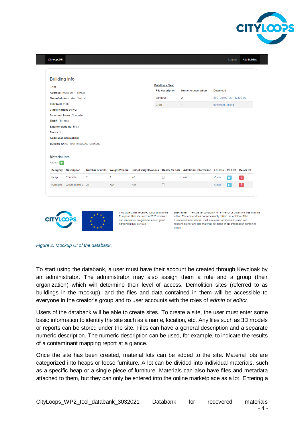

| Test                           | <b>Building info</b>                  |                 |                      |                       | <b>Building's files:</b>                                                 |                                       |                         |               |                            |
|--------------------------------|---------------------------------------|-----------------|----------------------|-----------------------|--------------------------------------------------------------------------|---------------------------------------|-------------------------|---------------|----------------------------|
| Address: Teststreet 1, Mikkeli |                                       |                 |                      |                       | <b>File description</b><br><b>Numeric description</b><br><b>Download</b> |                                       |                         |               |                            |
| Owner/administrator: Test Itd. |                                       |                 |                      |                       | Windows<br>$\overline{2}$                                                |                                       | IMG_20190706_182330.jpg |               |                            |
| Year built: 2000               |                                       |                 |                      |                       | Chair<br>1                                                               |                                       | download (2).png        |               |                            |
| <b>Classification: School</b>  |                                       |                 |                      |                       |                                                                          |                                       |                         |               |                            |
|                                | <b>Structural frame: Concrete</b>     |                 |                      |                       |                                                                          |                                       |                         |               |                            |
| Roof: Flat roof                |                                       |                 |                      |                       |                                                                          |                                       |                         |               |                            |
|                                | <b>Exterior cladding: Brick</b>       |                 |                      |                       |                                                                          |                                       |                         |               |                            |
| Floors: 1                      |                                       |                 |                      |                       |                                                                          |                                       |                         |               |                            |
|                                | <b>Additional information:</b>        |                 |                      |                       |                                                                          |                                       |                         |               |                            |
|                                | Building ID: 60119c147c9a0a6210836bed |                 |                      |                       |                                                                          |                                       |                         |               |                            |
| <b>Material lots</b>           |                                       |                 |                      |                       |                                                                          |                                       |                         |               |                            |
| Add lot:                       |                                       |                 |                      |                       |                                                                          |                                       |                         |               |                            |
|                                | <b>Description</b>                    | Number of units | <b>Weight/Volume</b> | Unit of weight/volume |                                                                          | Ready for sale Additional information | Lot info                |               | <b>Edit lot</b> Delete lot |
|                                | Concrete                              | $\overline{2}$  | 3                    | m <sup>s</sup>        | П                                                                        | asd                                   | Open                    | $\varnothing$ | 侖                          |
|                                |                                       |                 | N/A                  | N/A                   | П                                                                        |                                       | Open                    | $\alpha$      | 価                          |
|                                | Office furniture 21                   |                 |                      |                       |                                                                          |                                       |                         |               |                            |
|                                |                                       |                 |                      |                       |                                                                          |                                       |                         |               |                            |
|                                |                                       |                 |                      |                       |                                                                          |                                       |                         |               |                            |
| Category<br>Heap<br>Furniture  |                                       |                 |                      |                       |                                                                          |                                       |                         |               |                            |

*Figure 2. Mockup UI of the databank.*

To start using the databank, a user must have their account be created through Keycloak by an administrator. The administrator may also assign them a role and a group (their organization) which will determine their level of access. Demolition sites (referred to as buildings in the mockup), and the files and data contained in them will be accessible to everyone in the creator's group and to user accounts with the roles of *admin* or *editor*.

Users of the databank will be able to create sites. To create a site, the user must enter some basic information to identify the site such as a name, location, etc. Any files such as 3D models or reports can be stored under the site. Files can have a general description and a separate numeric description. The numeric description can be used, for example, to indicate the results of a contaminant mapping report at a glance.

Once the site has been created, material lots can be added to the site. Material lots are categorized into heaps or loose furniture. A lot can be divided into individual materials, such as a specific heap or a single piece of furniture. Materials can also have files and metadata attached to them, but they can only be entered into the online marketplace as a lot. Entering a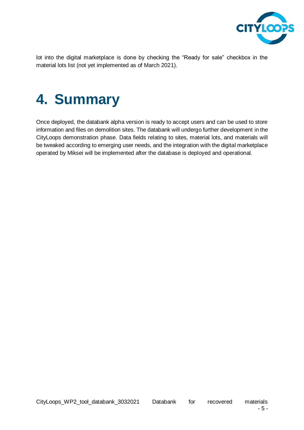

lot into the digital marketplace is done by checking the "Ready for sale" checkbox in the material lots list (not yet implemented as of March 2021).

#### <span id="page-6-0"></span>**4. Summary**

Once deployed, the databank alpha version is ready to accept users and can be used to store information and files on demolition sites. The databank will undergo further development in the CityLoops demonstration phase. Data fields relating to sites, material lots, and materials will be tweaked according to emerging user needs, and the integration with the digital marketplace operated by Miksei will be implemented after the database is deployed and operational.